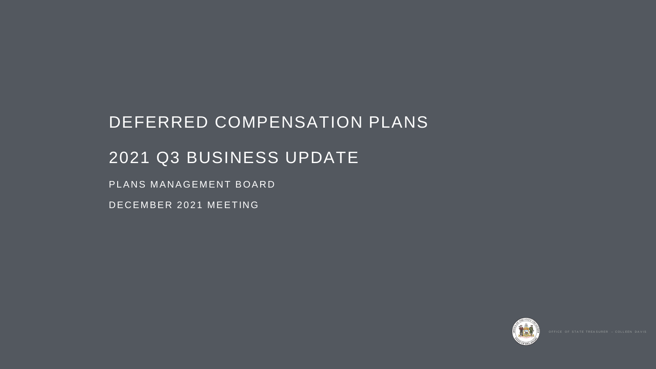# DEFERRED COMPENSATION PLANS 2021 Q3 BUSINESS UPDATE PLANS MANAGEMENT BOARD DECEMBER 2021 MEETING